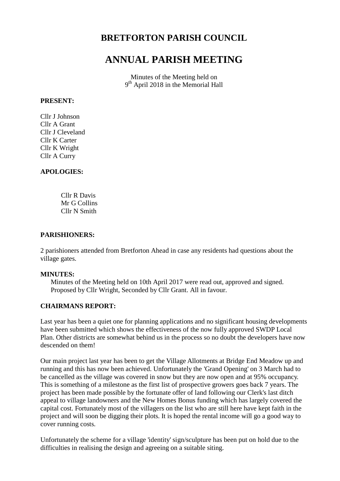# **BRETFORTON PARISH COUNCIL**

# **ANNUAL PARISH MEETING**

Minutes of the Meeting held on 9<sup>th</sup> April 2018 in the Memorial Hall

#### **PRESENT:**

Cllr J Johnson Cllr A Grant Cllr J Cleveland Cllr K Carter Cllr K Wright Cllr A Curry

#### **APOLOGIES:**

Cllr R Davis Mr G Collins Cllr N Smith

#### **PARISHIONERS:**

2 parishioners attended from Bretforton Ahead in case any residents had questions about the village gates.

#### **MINUTES:**

Minutes of the Meeting held on 10th April 2017 were read out, approved and signed. Proposed by Cllr Wright, Seconded by Cllr Grant. All in favour.

#### **CHAIRMANS REPORT:**

Last year has been a quiet one for planning applications and no significant housing developments have been submitted which shows the effectiveness of the now fully approved SWDP Local Plan. Other districts are somewhat behind us in the process so no doubt the developers have now descended on them!

Our main project last year has been to get the Village Allotments at Bridge End Meadow up and running and this has now been achieved. Unfortunately the 'Grand Opening' on 3 March had to be cancelled as the village was covered in snow but they are now open and at 95% occupancy. This is something of a milestone as the first list of prospective growers goes back 7 years. The project has been made possible by the fortunate offer of land following our Clerk's last ditch appeal to village landowners and the New Homes Bonus funding which has largely covered the capital cost. Fortunately most of the villagers on the list who are still here have kept faith in the project and will soon be digging their plots. It is hoped the rental income will go a good way to cover running costs.

Unfortunately the scheme for a village 'identity' sign/sculpture has been put on hold due to the difficulties in realising the design and agreeing on a suitable siting.